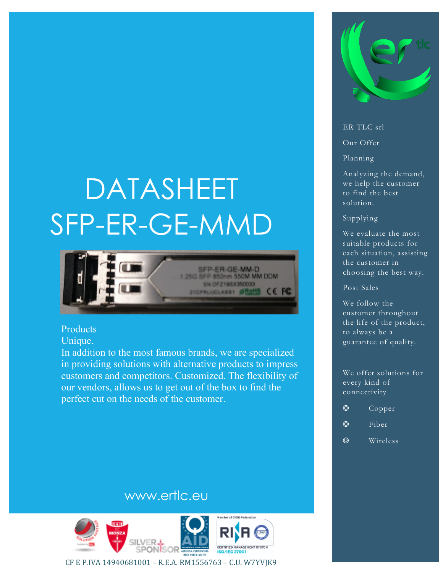# DATASHEET SFP-ER-GE-MMD



#### Products

Unique.

In addition to the most famous brands, we are specialized in providing solutions with alternative products to impress customers and competitors. Customized. The flexibility of our vendors, allows us to get out of the box to find the perfect cut on the needs of the customer.



#### ER TLC srl

Our Offer

Planning

Analyzing the demand, we help the customer to find the best solution.

#### Supplying

We evaluate the most suitable products for each situation, assisting the customer in choosing the best way.

Post Sales

We follow the customer throughout the life of the product, to always be a guarantee of quality.

We offer solutions for every kind of connectivity

- ◎ Copper
- ◎ Fiber
- ◎ Wireless

#### www.ertlc.eu



CF E P.IVA 14940681001 – R.E.A. RM1556763 – C.U. W7YVJK9